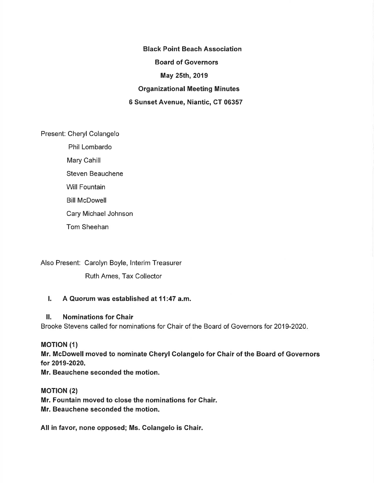Black Point Beach Association Board of Governors May 25th, 2019 Organizational Meeting Minutes 6 Sunset Avenue, Niantic, CT 06357

Present: Cheryl Colangelo

Phil Lombardo Mary Cahill Steven Beauchene Will Fountain Bill McDowell Cary Michael Johnson Tom Sheehan

Also Present: Carolyn Boyle, lnterim Treasurer Ruth Ames, Tax Collector

### I. A Quorum was established at 11:47 a.m.

### ll. Nominations for Ghair

Brooke Stevens called for nominations for Chair of the Board of Governors for 2019-2020

### **MOTION (1)**

Mr. McDowell moved to nominate Gheryl Golangelo for Ghair of the Board of Governors for 2019-2020.

Mr. Beauchene seconded the motion.

**MOTION (2)** Mr. Fountain moved to close the nominations for Ghair. Mr. Beauchene seconded the motion.

All in favor, none opposed; Ms. Colangelo is Ghair.